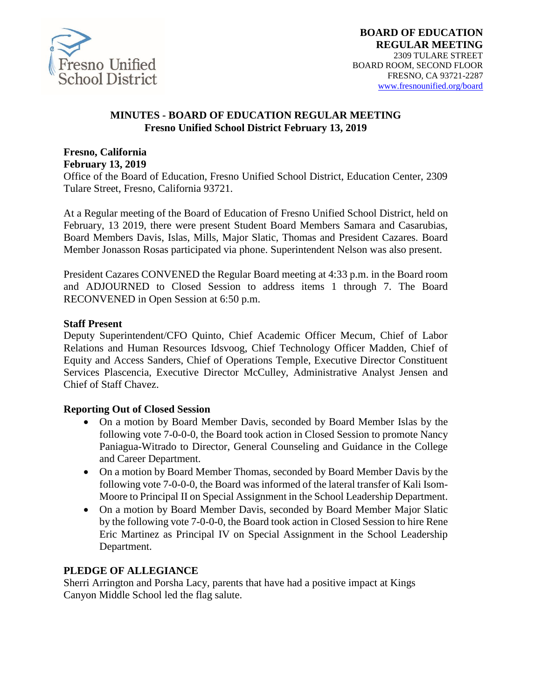

### **MINUTES - BOARD OF EDUCATION REGULAR MEETING Fresno Unified School District February 13, 2019**

#### **Fresno, California February 13, 2019**

Office of the Board of Education, Fresno Unified School District, Education Center, 2309 Tulare Street, Fresno, California 93721.

At a Regular meeting of the Board of Education of Fresno Unified School District, held on February, 13 2019, there were present Student Board Members Samara and Casarubias, Board Members Davis, Islas, Mills, Major Slatic, Thomas and President Cazares. Board Member Jonasson Rosas participated via phone. Superintendent Nelson was also present.

President Cazares CONVENED the Regular Board meeting at 4:33 p.m. in the Board room and ADJOURNED to Closed Session to address items 1 through 7. The Board RECONVENED in Open Session at 6:50 p.m.

#### **Staff Present**

Deputy Superintendent/CFO Quinto, Chief Academic Officer Mecum, Chief of Labor Relations and Human Resources Idsvoog, Chief Technology Officer Madden, Chief of Equity and Access Sanders, Chief of Operations Temple, Executive Director Constituent Services Plascencia, Executive Director McCulley, Administrative Analyst Jensen and Chief of Staff Chavez.

#### **Reporting Out of Closed Session**

- On a motion by Board Member Davis, seconded by Board Member Islas by the following vote 7-0-0-0, the Board took action in Closed Session to promote Nancy Paniagua-Witrado to Director, General Counseling and Guidance in the College and Career Department.
- On a motion by Board Member Thomas, seconded by Board Member Davis by the following vote 7-0-0-0, the Board was informed of the lateral transfer of Kali Isom-Moore to Principal II on Special Assignment in the School Leadership Department.
- On a motion by Board Member Davis, seconded by Board Member Major Slatic by the following vote 7-0-0-0, the Board took action in Closed Session to hire Rene Eric Martinez as Principal IV on Special Assignment in the School Leadership Department.

#### **PLEDGE OF ALLEGIANCE**

Sherri Arrington and Porsha Lacy, parents that have had a positive impact at Kings Canyon Middle School led the flag salute.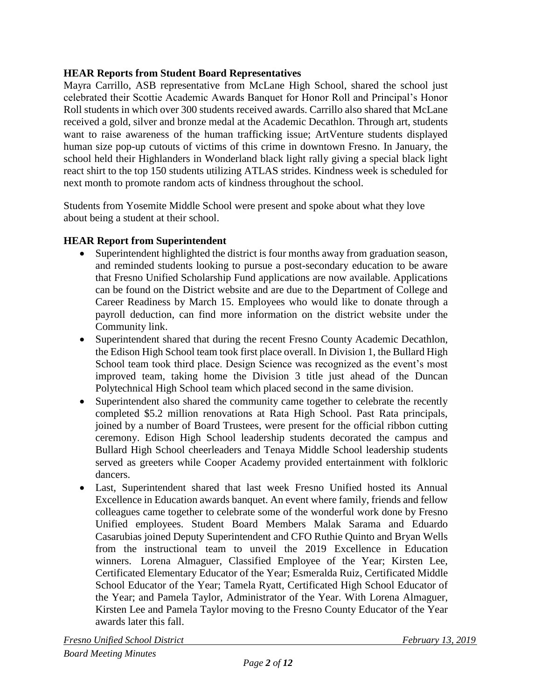## **HEAR Reports from Student Board Representatives**

Mayra Carrillo, ASB representative from McLane High School, shared the school just celebrated their Scottie Academic Awards Banquet for Honor Roll and Principal's Honor Roll students in which over 300 students received awards. Carrillo also shared that McLane received a gold, silver and bronze medal at the Academic Decathlon. Through art, students want to raise awareness of the human trafficking issue; ArtVenture students displayed human size pop-up cutouts of victims of this crime in downtown Fresno. In January, the school held their Highlanders in Wonderland black light rally giving a special black light react shirt to the top 150 students utilizing ATLAS strides. Kindness week is scheduled for next month to promote random acts of kindness throughout the school.

Students from Yosemite Middle School were present and spoke about what they love about being a student at their school.

### **HEAR Report from Superintendent**

- Superintendent highlighted the district is four months away from graduation season, and reminded students looking to pursue a post-secondary education to be aware that Fresno Unified Scholarship Fund applications are now available. Applications can be found on the District website and are due to the Department of College and Career Readiness by March 15. Employees who would like to donate through a payroll deduction, can find more information on the district website under the Community link.
- Superintendent shared that during the recent Fresno County Academic Decathlon, the Edison High School team took first place overall. In Division 1, the Bullard High School team took third place. Design Science was recognized as the event's most improved team, taking home the Division 3 title just ahead of the Duncan Polytechnical High School team which placed second in the same division.
- Superintendent also shared the community came together to celebrate the recently completed \$5.2 million renovations at Rata High School. Past Rata principals, joined by a number of Board Trustees, were present for the official ribbon cutting ceremony. Edison High School leadership students decorated the campus and Bullard High School cheerleaders and Tenaya Middle School leadership students served as greeters while Cooper Academy provided entertainment with folkloric dancers.
- Last, Superintendent shared that last week Fresno Unified hosted its Annual Excellence in Education awards banquet. An event where family, friends and fellow colleagues came together to celebrate some of the wonderful work done by Fresno Unified employees. Student Board Members Malak Sarama and Eduardo Casarubias joined Deputy Superintendent and CFO Ruthie Quinto and Bryan Wells from the instructional team to unveil the 2019 Excellence in Education winners. Lorena Almaguer, Classified Employee of the Year; Kirsten Lee, Certificated Elementary Educator of the Year; Esmeralda Ruiz, Certificated Middle School Educator of the Year; Tamela Ryatt, Certificated High School Educator of the Year; and Pamela Taylor, Administrator of the Year. With Lorena Almaguer, Kirsten Lee and Pamela Taylor moving to the Fresno County Educator of the Year awards later this fall.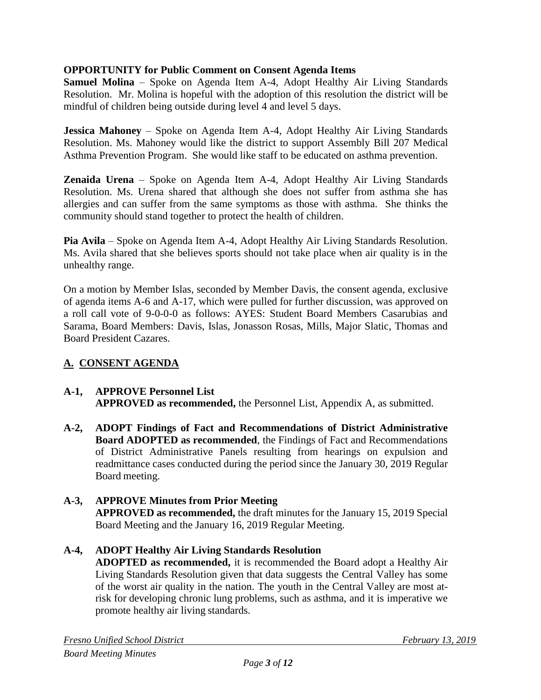## **OPPORTUNITY for Public Comment on Consent Agenda Items**

**Samuel Molina** – Spoke on Agenda Item A-4, Adopt Healthy Air Living Standards Resolution. Mr. Molina is hopeful with the adoption of this resolution the district will be mindful of children being outside during level 4 and level 5 days.

**Jessica Mahoney** – Spoke on Agenda Item A-4, Adopt Healthy Air Living Standards Resolution. Ms. Mahoney would like the district to support Assembly Bill 207 Medical Asthma Prevention Program. She would like staff to be educated on asthma prevention.

**Zenaida Urena** – Spoke on Agenda Item A-4, Adopt Healthy Air Living Standards Resolution. Ms. Urena shared that although she does not suffer from asthma she has allergies and can suffer from the same symptoms as those with asthma. She thinks the community should stand together to protect the health of children.

**Pia Avila** – Spoke on Agenda Item A-4, Adopt Healthy Air Living Standards Resolution. Ms. Avila shared that she believes sports should not take place when air quality is in the unhealthy range.

On a motion by Member Islas, seconded by Member Davis, the consent agenda, exclusive of agenda items A-6 and A-17, which were pulled for further discussion, was approved on a roll call vote of 9-0-0-0 as follows: AYES: Student Board Members Casarubias and Sarama, Board Members: Davis, Islas, Jonasson Rosas, Mills, Major Slatic, Thomas and Board President Cazares.

## **A. CONSENT AGENDA**

#### **A-1, APPROVE Personnel List APPROVED as recommended,** the Personnel List, Appendix A, as submitted.

- **A-2, ADOPT Findings of Fact and Recommendations of District Administrative Board ADOPTED as recommended**, the Findings of Fact and Recommendations of District Administrative Panels resulting from hearings on expulsion and readmittance cases conducted during the period since the January 30, 2019 Regular Board meeting.
- **A-3, APPROVE Minutes from Prior Meeting APPROVED as recommended,** the draft minutes for the January 15, 2019 Special Board Meeting and the January 16, 2019 Regular Meeting.
- **A-4, ADOPT Healthy Air Living Standards Resolution ADOPTED as recommended,** it is recommended the Board adopt a Healthy Air Living Standards Resolution given that data suggests the Central Valley has some of the worst air quality in the nation. The youth in the Central Valley are most atrisk for developing chronic lung problems, such as asthma, and it is imperative we promote healthy air living standards.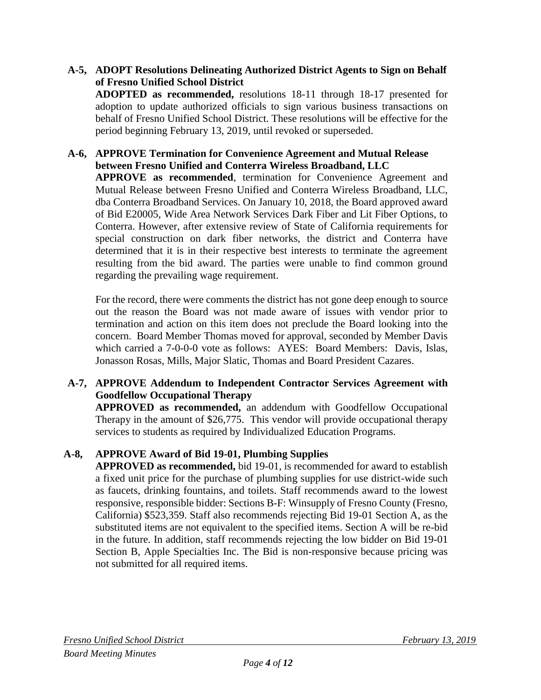### **A-5, ADOPT Resolutions Delineating Authorized District Agents to Sign on Behalf of Fresno Unified School District**

**ADOPTED as recommended,** resolutions 18-11 through 18-17 presented for adoption to update authorized officials to sign various business transactions on behalf of Fresno Unified School District. These resolutions will be effective for the period beginning February 13, 2019, until revoked or superseded.

#### **A-6, APPROVE Termination for Convenience Agreement and Mutual Release between Fresno Unified and Conterra Wireless Broadband, LLC**

**APPROVE as recommended**, termination for Convenience Agreement and Mutual Release between Fresno Unified and Conterra Wireless Broadband, LLC, dba Conterra Broadband Services. On January 10, 2018, the Board approved award of Bid E20005, Wide Area Network Services Dark Fiber and Lit Fiber Options, to Conterra. However, after extensive review of State of California requirements for special construction on dark fiber networks, the district and Conterra have determined that it is in their respective best interests to terminate the agreement resulting from the bid award. The parties were unable to find common ground regarding the prevailing wage requirement.

For the record, there were comments the district has not gone deep enough to source out the reason the Board was not made aware of issues with vendor prior to termination and action on this item does not preclude the Board looking into the concern. Board Member Thomas moved for approval, seconded by Member Davis which carried a 7-0-0-0 vote as follows: AYES: Board Members: Davis, Islas, Jonasson Rosas, Mills, Major Slatic, Thomas and Board President Cazares.

## **A-7, APPROVE Addendum to Independent Contractor Services Agreement with Goodfellow Occupational Therapy**

**APPROVED as recommended,** an addendum with Goodfellow Occupational Therapy in the amount of \$26,775. This vendor will provide occupational therapy services to students as required by Individualized Education Programs.

## **A-8, APPROVE Award of Bid 19-01, Plumbing Supplies**

**APPROVED as recommended,** bid 19-01, is recommended for award to establish a fixed unit price for the purchase of plumbing supplies for use district-wide such as faucets, drinking fountains, and toilets. Staff recommends award to the lowest responsive, responsible bidder: Sections B-F: Winsupply of Fresno County (Fresno, California) \$523,359. Staff also recommends rejecting Bid 19-01 Section A, as the substituted items are not equivalent to the specified items. Section A will be re-bid in the future. In addition, staff recommends rejecting the low bidder on Bid 19-01 Section B, Apple Specialties Inc. The Bid is non-responsive because pricing was not submitted for all required items.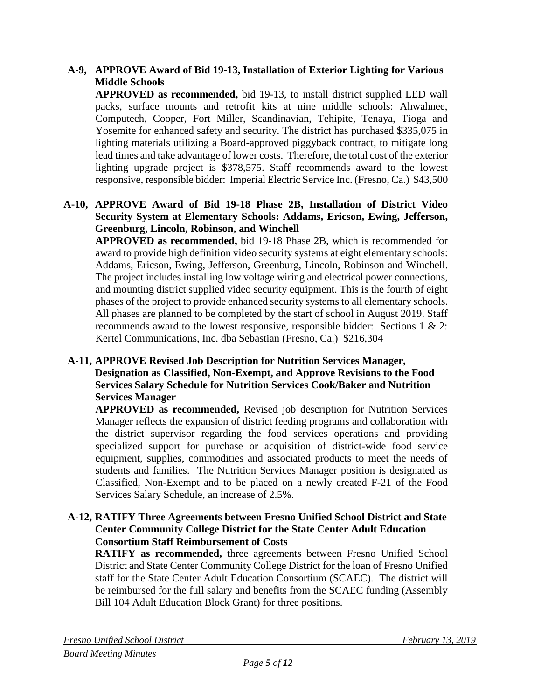### **A-9, APPROVE Award of Bid 19-13, Installation of Exterior Lighting for Various Middle Schools**

**APPROVED as recommended,** bid 19-13, to install district supplied LED wall packs, surface mounts and retrofit kits at nine middle schools: Ahwahnee, Computech, Cooper, Fort Miller, Scandinavian, Tehipite, Tenaya, Tioga and Yosemite for enhanced safety and security. The district has purchased \$335,075 in lighting materials utilizing a Board-approved piggyback contract, to mitigate long lead times and take advantage of lower costs. Therefore, the total cost of the exterior lighting upgrade project is \$378,575. Staff recommends award to the lowest responsive, responsible bidder: Imperial Electric Service Inc. (Fresno, Ca.) \$43,500

### **A-10, APPROVE Award of Bid 19-18 Phase 2B, Installation of District Video Security System at Elementary Schools: Addams, Ericson, Ewing, Jefferson, Greenburg, Lincoln, Robinson, and Winchell**

**APPROVED as recommended,** bid 19-18 Phase 2B, which is recommended for award to provide high definition video security systems at eight elementary schools: Addams, Ericson, Ewing, Jefferson, Greenburg, Lincoln, Robinson and Winchell. The project includes installing low voltage wiring and electrical power connections, and mounting district supplied video security equipment. This is the fourth of eight phases of the project to provide enhanced security systems to all elementary schools. All phases are planned to be completed by the start of school in August 2019. Staff recommends award to the lowest responsive, responsible bidder: Sections 1 & 2: Kertel Communications, Inc. dba Sebastian (Fresno, Ca.) \$216,304

#### **A-11, APPROVE Revised Job Description for Nutrition Services Manager, Designation as Classified, Non-Exempt, and Approve Revisions to the Food Services Salary Schedule for Nutrition Services Cook/Baker and Nutrition Services Manager**

**APPROVED as recommended,** Revised job description for Nutrition Services Manager reflects the expansion of district feeding programs and collaboration with the district supervisor regarding the food services operations and providing specialized support for purchase or acquisition of district-wide food service equipment, supplies, commodities and associated products to meet the needs of students and families. The Nutrition Services Manager position is designated as Classified, Non-Exempt and to be placed on a newly created F-21 of the Food Services Salary Schedule, an increase of 2.5%.

#### **A-12, RATIFY Three Agreements between Fresno Unified School District and State Center Community College District for the State Center Adult Education Consortium Staff Reimbursement of Costs**

**RATIFY as recommended,** three agreements between Fresno Unified School District and State Center Community College District for the loan of Fresno Unified staff for the State Center Adult Education Consortium (SCAEC). The district will be reimbursed for the full salary and benefits from the SCAEC funding (Assembly Bill 104 Adult Education Block Grant) for three positions.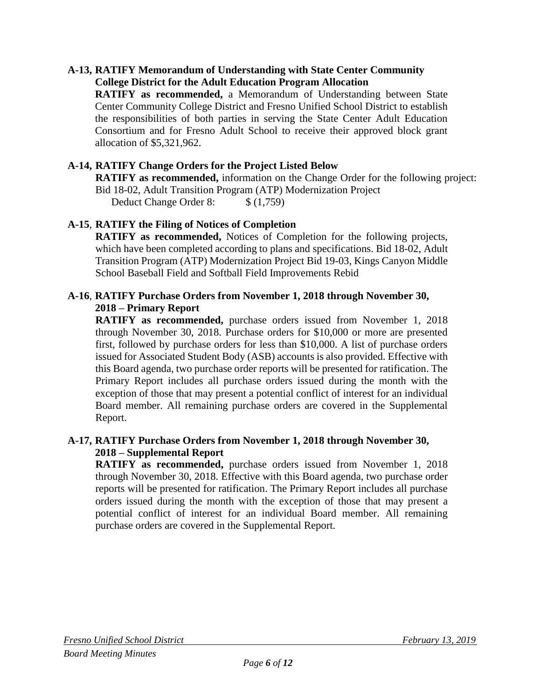#### **A-13, RATIFY Memorandum of Understanding with State Center Community College District for the Adult Education Program Allocation**

**RATIFY as recommended,** a Memorandum of Understanding between State Center Community College District and Fresno Unified School District to establish the responsibilities of both parties in serving the State Center Adult Education Consortium and for Fresno Adult School to receive their approved block grant allocation of \$5,321,962.

## **A-14, RATIFY Change Orders for the Project Listed Below**

**RATIFY as recommended,** information on the Change Order for the following project: Bid 18-02, Adult Transition Program (ATP) Modernization Project

Deduct Change Order 8:  $\frac{\$ (1,759)}{?}$ 

### **A-15**, **RATIFY the Filing of Notices of Completion**

**RATIFY as recommended,** Notices of Completion for the following projects, which have been completed according to plans and specifications. Bid 18-02, Adult Transition Program (ATP) Modernization Project Bid 19-03, Kings Canyon Middle School Baseball Field and Softball Field Improvements Rebid

### **A-16**, **RATIFY Purchase Orders from November 1, 2018 through November 30, 2018 – Primary Report**

**RATIFY as recommended,** purchase orders issued from November 1, 2018 through November 30, 2018. Purchase orders for \$10,000 or more are presented first, followed by purchase orders for less than \$10,000. A list of purchase orders issued for Associated Student Body (ASB) accounts is also provided. Effective with this Board agenda, two purchase order reports will be presented for ratification. The Primary Report includes all purchase orders issued during the month with the exception of those that may present a potential conflict of interest for an individual Board member. All remaining purchase orders are covered in the Supplemental Report.

### **A-17, RATIFY Purchase Orders from November 1, 2018 through November 30, 2018 – Supplemental Report**

**RATIFY as recommended,** purchase orders issued from November 1, 2018 through November 30, 2018. Effective with this Board agenda, two purchase order reports will be presented for ratification. The Primary Report includes all purchase orders issued during the month with the exception of those that may present a potential conflict of interest for an individual Board member. All remaining purchase orders are covered in the Supplemental Report.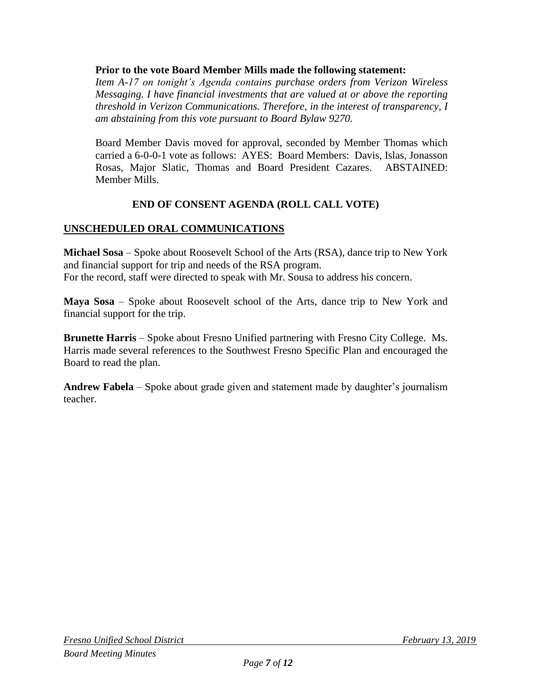#### **Prior to the vote Board Member Mills made the following statement:**

*Item A-17 on tonight's Agenda contains purchase orders from Verizon Wireless Messaging. I have financial investments that are valued at or above the reporting threshold in Verizon Communications. Therefore, in the interest of transparency, I am abstaining from this vote pursuant to Board Bylaw 9270.*

Board Member Davis moved for approval, seconded by Member Thomas which carried a 6-0-0-1 vote as follows: AYES: Board Members: Davis, Islas, Jonasson Rosas, Major Slatic, Thomas and Board President Cazares. ABSTAINED: Member Mills.

# **END OF CONSENT AGENDA (ROLL CALL VOTE)**

# **UNSCHEDULED ORAL COMMUNICATIONS**

**Michael Sosa** – Spoke about Roosevelt School of the Arts (RSA), dance trip to New York and financial support for trip and needs of the RSA program. For the record, staff were directed to speak with Mr. Sousa to address his concern.

**Maya Sosa** – Spoke about Roosevelt school of the Arts, dance trip to New York and financial support for the trip.

**Brunette Harris** – Spoke about Fresno Unified partnering with Fresno City College. Ms. Harris made several references to the Southwest Fresno Specific Plan and encouraged the Board to read the plan.

**Andrew Fabela** – Spoke about grade given and statement made by daughter's journalism teacher.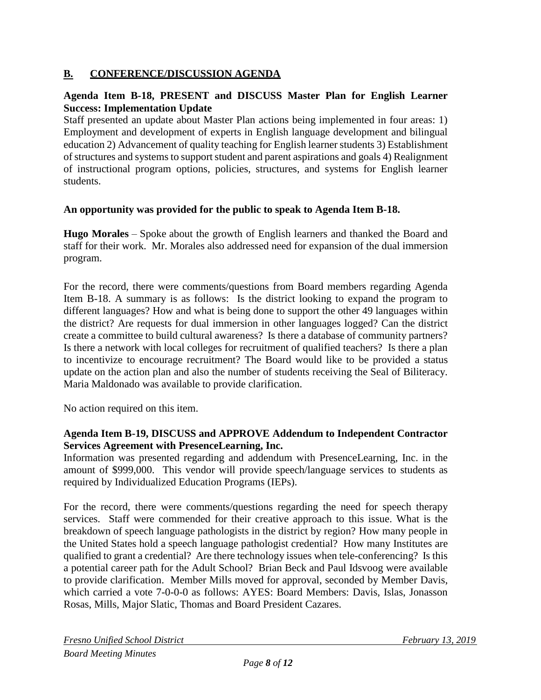### **B. CONFERENCE/DISCUSSION AGENDA**

#### **Agenda Item B-18, PRESENT and DISCUSS Master Plan for English Learner Success: Implementation Update**

Staff presented an update about Master Plan actions being implemented in four areas: 1) Employment and development of experts in English language development and bilingual education 2) Advancement of quality teaching for English learner students 3) Establishment of structures and systems to support student and parent aspirations and goals 4) Realignment of instructional program options, policies, structures, and systems for English learner students.

#### **An opportunity was provided for the public to speak to Agenda Item B-18.**

**Hugo Morales** – Spoke about the growth of English learners and thanked the Board and staff for their work. Mr. Morales also addressed need for expansion of the dual immersion program.

For the record, there were comments/questions from Board members regarding Agenda Item B-18. A summary is as follows: Is the district looking to expand the program to different languages? How and what is being done to support the other 49 languages within the district? Are requests for dual immersion in other languages logged? Can the district create a committee to build cultural awareness? Is there a database of community partners? Is there a network with local colleges for recruitment of qualified teachers? Is there a plan to incentivize to encourage recruitment? The Board would like to be provided a status update on the action plan and also the number of students receiving the Seal of Biliteracy. Maria Maldonado was available to provide clarification.

No action required on this item.

#### **Agenda Item B-19, DISCUSS and APPROVE Addendum to Independent Contractor Services Agreement with PresenceLearning, Inc.**

Information was presented regarding and addendum with PresenceLearning, Inc. in the amount of \$999,000. This vendor will provide speech/language services to students as required by Individualized Education Programs (IEPs).

For the record, there were comments/questions regarding the need for speech therapy services. Staff were commended for their creative approach to this issue. What is the breakdown of speech language pathologists in the district by region? How many people in the United States hold a speech language pathologist credential? How many Institutes are qualified to grant a credential? Are there technology issues when tele-conferencing? Is this a potential career path for the Adult School? Brian Beck and Paul Idsvoog were available to provide clarification. Member Mills moved for approval, seconded by Member Davis, which carried a vote 7-0-0-0 as follows: AYES: Board Members: Davis, Islas, Jonasson Rosas, Mills, Major Slatic, Thomas and Board President Cazares.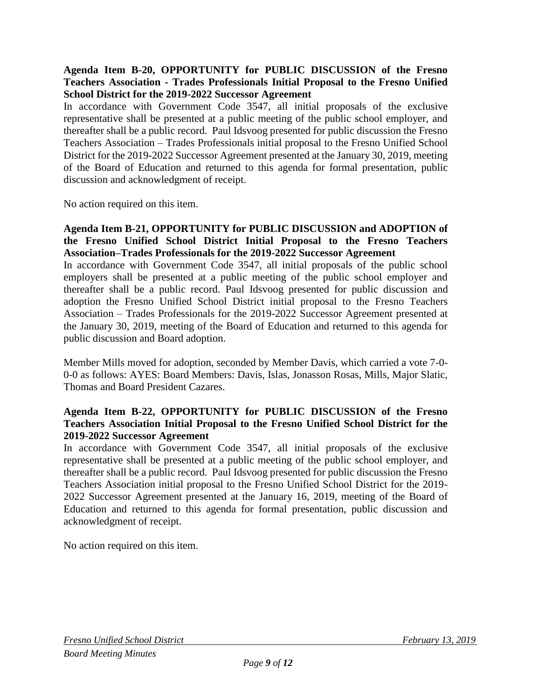### **Agenda Item B-20, OPPORTUNITY for PUBLIC DISCUSSION of the Fresno Teachers Association - Trades Professionals Initial Proposal to the Fresno Unified School District for the 2019-2022 Successor Agreement**

In accordance with Government Code 3547, all initial proposals of the exclusive representative shall be presented at a public meeting of the public school employer, and thereafter shall be a public record. Paul Idsvoog presented for public discussion the Fresno Teachers Association – Trades Professionals initial proposal to the Fresno Unified School District for the 2019-2022 Successor Agreement presented at the January 30, 2019, meeting of the Board of Education and returned to this agenda for formal presentation, public discussion and acknowledgment of receipt.

No action required on this item.

#### **Agenda Item B-21, OPPORTUNITY for PUBLIC DISCUSSION and ADOPTION of the Fresno Unified School District Initial Proposal to the Fresno Teachers Association–Trades Professionals for the 2019-2022 Successor Agreement**

In accordance with Government Code 3547, all initial proposals of the public school employers shall be presented at a public meeting of the public school employer and thereafter shall be a public record. Paul Idsvoog presented for public discussion and adoption the Fresno Unified School District initial proposal to the Fresno Teachers Association – Trades Professionals for the 2019-2022 Successor Agreement presented at the January 30, 2019, meeting of the Board of Education and returned to this agenda for public discussion and Board adoption.

Member Mills moved for adoption, seconded by Member Davis, which carried a vote 7-0- 0-0 as follows: AYES: Board Members: Davis, Islas, Jonasson Rosas, Mills, Major Slatic, Thomas and Board President Cazares.

#### **Agenda Item B-22, OPPORTUNITY for PUBLIC DISCUSSION of the Fresno Teachers Association Initial Proposal to the Fresno Unified School District for the 2019-2022 Successor Agreement**

In accordance with Government Code 3547, all initial proposals of the exclusive representative shall be presented at a public meeting of the public school employer, and thereafter shall be a public record. Paul Idsvoog presented for public discussion the Fresno Teachers Association initial proposal to the Fresno Unified School District for the 2019- 2022 Successor Agreement presented at the January 16, 2019, meeting of the Board of Education and returned to this agenda for formal presentation, public discussion and acknowledgment of receipt.

No action required on this item.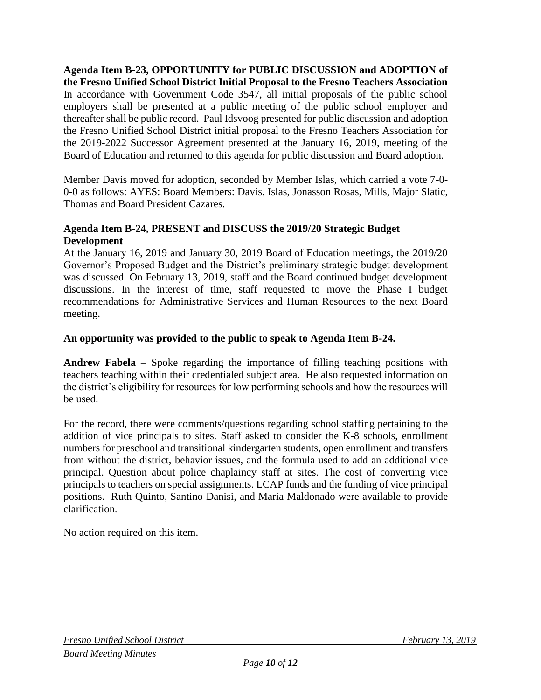**Agenda Item B-23, OPPORTUNITY for PUBLIC DISCUSSION and ADOPTION of the Fresno Unified School District Initial Proposal to the Fresno Teachers Association** In accordance with Government Code 3547, all initial proposals of the public school employers shall be presented at a public meeting of the public school employer and thereafter shall be public record. Paul Idsvoog presented for public discussion and adoption the Fresno Unified School District initial proposal to the Fresno Teachers Association for the 2019-2022 Successor Agreement presented at the January 16, 2019, meeting of the Board of Education and returned to this agenda for public discussion and Board adoption.

Member Davis moved for adoption, seconded by Member Islas, which carried a vote 7-0- 0-0 as follows: AYES: Board Members: Davis, Islas, Jonasson Rosas, Mills, Major Slatic, Thomas and Board President Cazares.

### **Agenda Item B-24, PRESENT and DISCUSS the 2019/20 Strategic Budget Development**

At the January 16, 2019 and January 30, 2019 Board of Education meetings, the 2019/20 Governor's Proposed Budget and the District's preliminary strategic budget development was discussed. On February 13, 2019, staff and the Board continued budget development discussions. In the interest of time, staff requested to move the Phase I budget recommendations for Administrative Services and Human Resources to the next Board meeting.

## **An opportunity was provided to the public to speak to Agenda Item B-24.**

**Andrew Fabela** – Spoke regarding the importance of filling teaching positions with teachers teaching within their credentialed subject area. He also requested information on the district's eligibility for resources for low performing schools and how the resources will be used.

For the record, there were comments/questions regarding school staffing pertaining to the addition of vice principals to sites. Staff asked to consider the K-8 schools, enrollment numbers for preschool and transitional kindergarten students, open enrollment and transfers from without the district, behavior issues, and the formula used to add an additional vice principal. Question about police chaplaincy staff at sites. The cost of converting vice principals to teachers on special assignments. LCAP funds and the funding of vice principal positions. Ruth Quinto, Santino Danisi, and Maria Maldonado were available to provide clarification.

No action required on this item.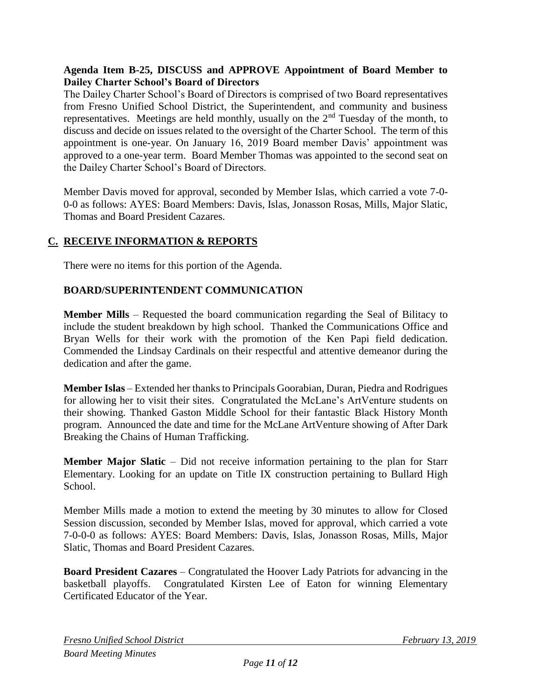#### **Agenda Item B-25, DISCUSS and APPROVE Appointment of Board Member to Dailey Charter School's Board of Directors**

The Dailey Charter School's Board of Directors is comprised of two Board representatives from Fresno Unified School District, the Superintendent, and community and business representatives. Meetings are held monthly, usually on the  $2<sup>nd</sup>$  Tuesday of the month, to discuss and decide on issues related to the oversight of the Charter School. The term of this appointment is one-year. On January 16, 2019 Board member Davis' appointment was approved to a one-year term. Board Member Thomas was appointed to the second seat on the Dailey Charter School's Board of Directors.

Member Davis moved for approval, seconded by Member Islas, which carried a vote 7-0- 0-0 as follows: AYES: Board Members: Davis, Islas, Jonasson Rosas, Mills, Major Slatic, Thomas and Board President Cazares.

# **C. RECEIVE INFORMATION & REPORTS**

There were no items for this portion of the Agenda.

### **BOARD/SUPERINTENDENT COMMUNICATION**

**Member Mills** – Requested the board communication regarding the Seal of Bilitacy to include the student breakdown by high school. Thanked the Communications Office and Bryan Wells for their work with the promotion of the Ken Papi field dedication. Commended the Lindsay Cardinals on their respectful and attentive demeanor during the dedication and after the game.

**Member Islas** – Extended her thanks to Principals Goorabian, Duran, Piedra and Rodrigues for allowing her to visit their sites. Congratulated the McLane's ArtVenture students on their showing. Thanked Gaston Middle School for their fantastic Black History Month program. Announced the date and time for the McLane ArtVenture showing of After Dark Breaking the Chains of Human Trafficking.

**Member Major Slatic** – Did not receive information pertaining to the plan for Starr Elementary. Looking for an update on Title IX construction pertaining to Bullard High School.

Member Mills made a motion to extend the meeting by 30 minutes to allow for Closed Session discussion, seconded by Member Islas, moved for approval, which carried a vote 7-0-0-0 as follows: AYES: Board Members: Davis, Islas, Jonasson Rosas, Mills, Major Slatic, Thomas and Board President Cazares.

**Board President Cazares** – Congratulated the Hoover Lady Patriots for advancing in the basketball playoffs. Congratulated Kirsten Lee of Eaton for winning Elementary Certificated Educator of the Year.